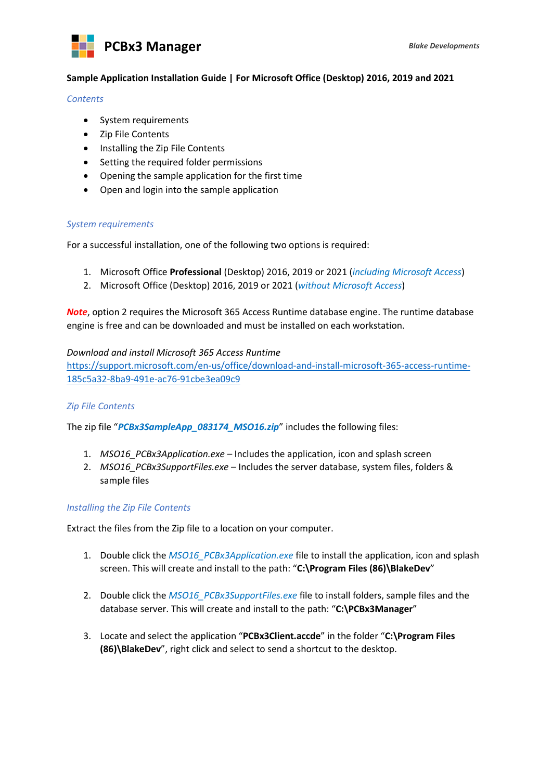



## **Sample Application Installation Guide | For Microsoft Office (Desktop) 2016, 2019 and 2021**

### *Contents*

- System requirements
- Zip File Contents
- Installing the Zip File Contents
- Setting the required folder permissions
- Opening the sample application for the first time
- Open and login into the sample application

# *System requirements*

For a successful installation, one of the following two options is required:

- 1. Microsoft Office **Professional** (Desktop) 2016, 2019 or 2021 (*including Microsoft Access*)
- 2. Microsoft Office (Desktop) 2016, 2019 or 2021 (*without Microsoft Access*)

*Note*, option 2 requires the Microsoft 365 Access Runtime database engine. The runtime database engine is free and can be downloaded and must be installed on each workstation.

## *Download and install Microsoft 365 Access Runtime*

https://support.microsoft.com/en-us/office/download-and-install-microsoft-365-access-runtime-185c5a32-8ba9-491e-ac76-91cbe3ea09c9

# *Zip File Contents*

The zip file "*PCBx3SampleApp\_083174\_MSO16.zip*" includes the following files:

- 1. *MSO16\_PCBx3Application.exe* Includes the application, icon and splash screen
- 2. *MSO16\_PCBx3SupportFiles.exe* Includes the server database, system files, folders & sample files

### *Installing the Zip File Contents*

Extract the files from the Zip file to a location on your computer.

- 1. Double click the *MSO16\_PCBx3Application.exe* file to install the application, icon and splash screen. This will create and install to the path: "**C:\Program Files (86)\BlakeDev**"
- 2. Double click the *MSO16\_PCBx3SupportFiles.exe* file to install folders, sample files and the database server. This will create and install to the path: "**C:\PCBx3Manager**"
- 3. Locate and select the application "**PCBx3Client.accde**" in the folder "**C:\Program Files (86)\BlakeDev**", right click and select to send a shortcut to the desktop.